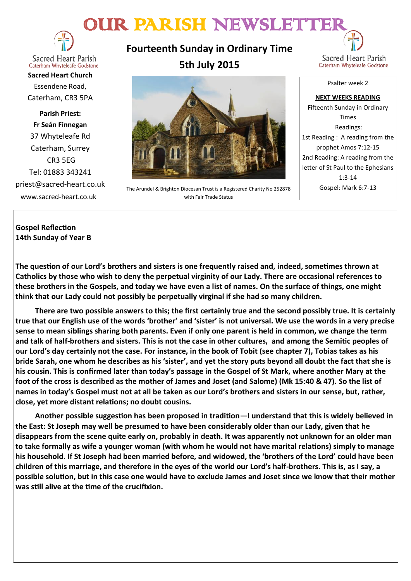# OUR PARISH NEWSLETTER



**Sacred Heart Parish** Caterham Whyteleafe Godstone

**Sacred Heart Church** Essendene Road, Caterham, CR3 5PA

**Parish Priest: Fr Seán Finnegan** 37 Whyteleafe Rd Caterham, Surrey CR3 5EG Tel: 01883 343241 priest@sacred-heart.co.uk www.sacred-heart.co.uk

**Fourteenth Sunday in Ordinary Time 5th July 2015**





The Arundel & Brighton Diocesan Trust is a Registered Charity No 252878 with Fair Trade Status

Fifteenth Sunday in Ordinary Times Readings: 1st Reading : A reading from the prophet Amos 7:12-15 2nd Reading: A reading from the letter of St Paul to the Ephesians 1:3-14 Gospel: Mark 6:7-13

**NEXT WEEKS READING**

## **Gospel Reflection 14th Sunday of Year B**

**The question of our Lord's brothers and sisters is one frequently raised and, indeed, sometimes thrown at Catholics by those who wish to deny the perpetual virginity of our Lady. There are occasional references to these brothers in the Gospels, and today we have even a list of names. On the surface of things, one might think that our Lady could not possibly be perpetually virginal if she had so many children.**

**There are two possible answers to this; the first certainly true and the second possibly true. It is certainly true that our English use of the words 'brother' and 'sister' is not universal. We use the words in a very precise sense to mean siblings sharing both parents. Even if only one parent is held in common, we change the term and talk of half-brothers and sisters. This is not the case in other cultures, and among the Semitic peoples of our Lord's day certainly not the case. For instance, in the book of Tobit (see chapter 7), Tobias takes as his bride Sarah, one whom he describes as his 'sister', and yet the story puts beyond all doubt the fact that she is his cousin. This is confirmed later than today's passage in the Gospel of St Mark, where another Mary at the foot of the cross is described as the mother of James and Joset (and Salome) (Mk 15:40 & 47). So the list of names in today's Gospel must not at all be taken as our Lord's brothers and sisters in our sense, but, rather, close, yet more distant relations; no doubt cousins.**

**Another possible suggestion has been proposed in tradition—I understand that this is widely believed in the East: St Joseph may well be presumed to have been considerably older than our Lady, given that he disappears from the scene quite early on, probably in death. It was apparently not unknown for an older man to take formally as wife a younger woman (with whom he would not have marital relations) simply to manage his household. If St Joseph had been married before, and widowed, the 'brothers of the Lord' could have been children of this marriage, and therefore in the eyes of the world our Lord's half-brothers. This is, as I say, a possible solution, but in this case one would have to exclude James and Joset since we know that their mother was still alive at the time of the crucifixion.**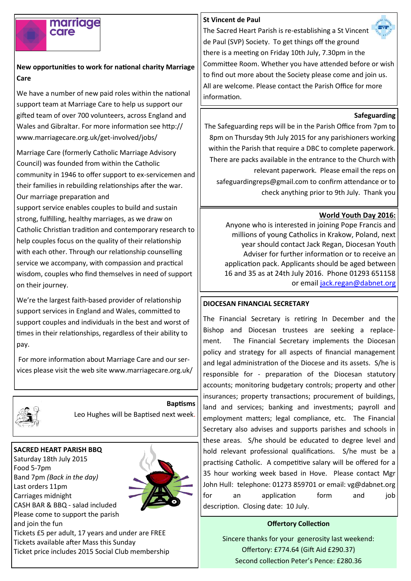# marriage care

# **New opportunities to work for national charity Marriage Care**

We have a number of new paid roles within the national support team at Marriage Care to help us support our gifted team of over 700 volunteers, across England and Wales and Gibraltar. For more information see http:// www.marriagecare.org.uk/get-involved/jobs/

Marriage Care (formerly Catholic Marriage Advisory Council) was founded from within the Catholic community in 1946 to offer support to ex-servicemen and their families in rebuilding relationships after the war. Our marriage preparation and

support service enables couples to build and sustain strong, fulfilling, healthy marriages, as we draw on Catholic Christian tradition and contemporary research to help couples focus on the quality of their relationship with each other. Through our relationship counselling service we accompany, with compassion and practical wisdom, couples who find themselves in need of support on their journey.

We're the largest faith-based provider of relationship support services in England and Wales, committed to support couples and individuals in the best and worst of times in their relationships, regardless of their ability to pay.

For more information about Marriage Care and our services please visit the web site www.marriagecare.org.uk/



**Baptisms** Leo Hughes will be Baptised next week.

## **SACRED HEART PARISH BBQ**

Saturday 18th July 2015 Food 5-7pm Band 7pm *(Back in the day)* Last orders 11pm Carriages midnight CASH BAR & BBQ - salad included Please come to support the parish and join the fun



Tickets £5 per adult, 17 years and under are FREE Tickets available after Mass this Sunday Ticket price includes 2015 Social Club membership

## **St Vincent de Paul**



The Sacred Heart Parish is re-establishing a St Vincent de Paul (SVP) Society. To get things off the ground there is a meeting on Friday 10th July, 7.30pm in the Committee Room. Whether you have attended before or wish to find out more about the Society please come and join us. All are welcome. Please contact the Parish Office for more information.

### **Safeguarding**

The Safeguarding reps will be in the Parish Office from 7pm to 8pm on Thursday 9th July 2015 for any parishioners working within the Parish that require a DBC to complete paperwork. There are packs available in the entrance to the Church with relevant paperwork. Please email the reps on safeguardingreps@gmail.com to confirm attendance or to check anything prior to 9th July. Thank you

## **World Youth Day 2016:**

Anyone who is interested in joining Pope Francis and millions of young Catholics in Krakow, Poland, next year should contact Jack Regan, Diocesan Youth Adviser for further information or to receive an application pack. Applicants should be aged between 16 and 35 as at 24th July 2016. Phone 01293 651158 or email [jack.regan@dabnet.org](mailto:jack.regan@dabnet.org)

## **DIOCESAN FINANCIAL SECRETARY**

The Financial Secretary is retiring In December and the Bishop and Diocesan trustees are seeking a replacement. The Financial Secretary implements the Diocesan policy and strategy for all aspects of financial management and legal administration of the Diocese and its assets. S/he is responsible for - preparation of the Diocesan statutory accounts; monitoring budgetary controls; property and other insurances; property transactions; procurement of buildings, land and services; banking and investments; payroll and employment matters; legal compliance, etc. The Financial Secretary also advises and supports parishes and schools in these areas. S/he should be educated to degree level and hold relevant professional qualifications. S/he must be a practising Catholic. A competitive salary will be offered for a 35 hour working week based in Hove. Please contact Mgr John Hull: telephone: 01273 859701 or email: vg@dabnet.org for an application form and job description. Closing date: 10 July.

#### **Offertory Collection**

Sincere thanks for your generosity last weekend: Offertory: £774.64 (Gift Aid £290.37) Second collection Peter's Pence: £280.36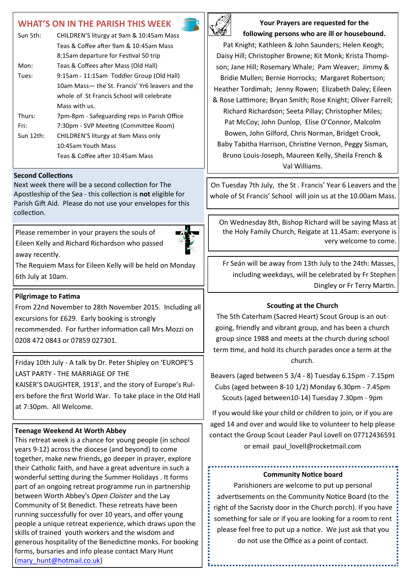# **WHAT'S ON IN THE PARISH THIS WEEK**

| Sun 5th:  | CHILDREN'S liturgy at 9am & 10:45am Mass        |  |
|-----------|-------------------------------------------------|--|
|           | Teas & Coffee after 9am & 10:45am Mass          |  |
|           | 8:15am departure for Festival 50 trip           |  |
| Mon:      | Teas & Coffees after Mass (Old Hall)            |  |
| Tues:     | 9:15am - 11:15am Toddler Group (Old Hall)       |  |
|           | 10am Mass— the St. Francis' Yr6 leavers and the |  |
|           | whole of St Francis School will celebrate       |  |
|           | Mass with us.                                   |  |
| Thurs:    | 7pm-8pm - Safeguarding reps in Parish Office    |  |
| Fri:      | 7:30pm - SVP Meeting (Committee Room)           |  |
| Sun 12th: | CHILDREN'S liturgy at 9am Mass only             |  |
|           | 10:45am Youth Mass                              |  |
|           | Teas & Coffee after 10:45am Mass                |  |
|           |                                                 |  |

#### **Second Collections**

Next week there will be a second collection for The Apostleship of the Sea - this collection is **not** eligible for Parish Gift Aid. Please do not use your envelopes for this collection.

Please remember in your prayers the souls of Eileen Kelly and Richard Richardson who passed away recently.



The Requiem Mass for Eileen Kelly will be held on Monday 6th July at 10am.

#### **Pilgrimage to Fatima**

From 22nd November to 28th November 2015. Including all excursions for £629. Early booking is strongly recommended. For further information call Mrs Mozzi on 0208 472 0843 or 07859 027301.

Friday 10th July - A talk by Dr. Peter Shipley on 'EUROPE'S LAST PARTY - THE MARRIAGE OF THE

KAISER'S DAUGHTER, 1913', and the story of Europe's Rulers before the first World War. To take place in the Old Hall at 7:30pm. All Welcome.

#### **Teenage Weekend At Worth Abbey**

This retreat week is a chance for young people (in school years 9-12) across the diocese (and beyond) to come together, make new friends, go deeper in prayer, explore their Catholic faith, and have a great adventure in such a wonderful setting during the Summer Holidays . It forms part of an ongoing retreat programme run in partnership between Worth Abbey's *Open Cloister* and the Lay Community of St Benedict. These retreats have been running successfully for over 10 years, and offer young people a unique retreat experience, which draws upon the skills of trained youth workers and the wisdom and generous hospitality of the Benedictine monks. For booking forms, bursaries and info please contact Mary Hunt ([mary\\_hunt@hotmail.co.uk\)](mailto:mary_hunt@hotmail.co.uk)



**Your Prayers are requested for the following persons who are ill or housebound.** 

Pat Knight; Kathleen & John Saunders; Helen Keogh; Daisy Hill; Christopher Browne; Kit Monk; Krista Thompson; Jane Hill; Rosemary Whale; Pam Weaver; Jimmy & Bridie Mullen; Bernie Horrocks; Margaret Robertson; Heather Tordimah; Jenny Rowen; Elizabeth Daley; Eileen & Rose Lattimore; Bryan Smith; Rose Knight; Oliver Farrell; Richard Richardson; Seeta Pillay; Christopher Miles; Pat McCoy; John Dunlop, Elise O'Connor, Malcolm Bowen, John Gilford, Chris Norman, Bridget Crook, Baby Tabitha Harrison, Christine Vernon, Peggy Sisman, Bruno Louis-Joseph, Maureen Kelly, Sheila French & Val Williams.

On Tuesday 7th July, the St . Francis' Year 6 Leavers and the whole of St Francis' School will join us at the 10.00am Mass.

On Wednesday 8th, Bishop Richard will be saying Mass at the Holy Family Church, Reigate at 11.45am: everyone is very welcome to come.

Fr Seán will be away from 13th July to the 24th: Masses, including weekdays, will be celebrated by Fr Stephen Dingley or Fr Terry Martin.

#### **Scouting at the Church**

The 5th Caterham (Sacred Heart) Scout Group is an outgoing, friendly and vibrant group, and has been a church group since 1988 and meets at the church during school term time, and hold its church parades once a term at the church.

Beavers (aged between 5 3/4 - 8) Tuesday 6.15pm - 7.15pm Cubs (aged between 8-10 1/2) Monday 6.30pm - 7.45pm Scouts (aged between10-14) Tuesday 7.30pm - 9pm

If you would like your child or children to join, or if you are aged 14 and over and would like to volunteer to help please contact the Group Scout Leader Paul Lovell on 07712436591 or email paul lovell@rocketmail.com

#### **Community Notice board**

Parishioners are welcome to put up personal advertisements on the Community Notice Board (to the right of the Sacristy door in the Church porch). If you have something for sale or if you are looking for a room to rent please feel free to put up a notice. We just ask that you do not use the Office as a point of contact.